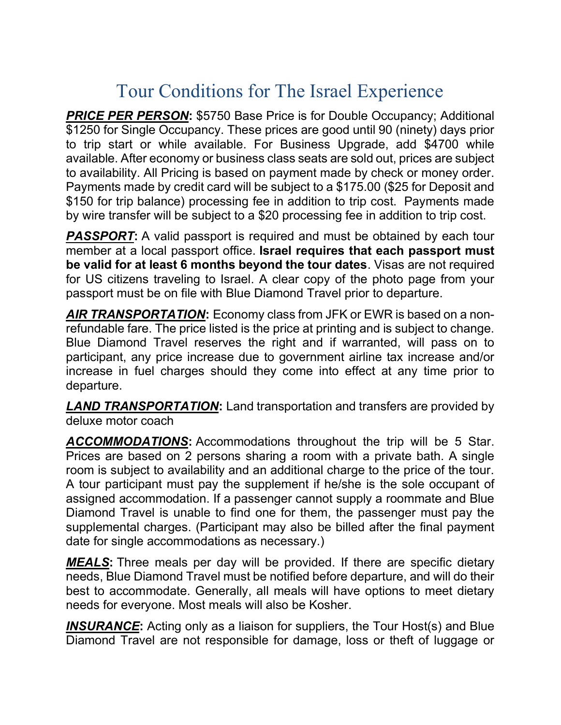## Tour Conditions for The Israel Experience

**PRICE PER PERSON: \$5750 Base Price is for Double Occupancy; Additional** \$1250 for Single Occupancy. These prices are good until 90 (ninety) days prior to trip start or while available. For Business Upgrade, add \$4700 while available. After economy or business class seats are sold out, prices are subject to availability. All Pricing is based on payment made by check or money order. Payments made by credit card will be subject to a \$175.00 (\$25 for Deposit and \$150 for trip balance) processing fee in addition to trip cost. Payments made by wire transfer will be subject to a \$20 processing fee in addition to trip cost.

**PASSPORT:** A valid passport is required and must be obtained by each tour member at a local passport office. Israel requires that each passport must be valid for at least 6 months beyond the tour dates. Visas are not required for US citizens traveling to Israel. A clear copy of the photo page from your passport must be on file with Blue Diamond Travel prior to departure.

AIR TRANSPORTATION: Economy class from JFK or EWR is based on a nonrefundable fare. The price listed is the price at printing and is subject to change. Blue Diamond Travel reserves the right and if warranted, will pass on to participant, any price increase due to government airline tax increase and/or increase in fuel charges should they come into effect at any time prior to departure.

**LAND TRANSPORTATION:** Land transportation and transfers are provided by deluxe motor coach

ACCOMMODATIONS: Accommodations throughout the trip will be 5 Star. Prices are based on 2 persons sharing a room with a private bath. A single room is subject to availability and an additional charge to the price of the tour. A tour participant must pay the supplement if he/she is the sole occupant of assigned accommodation. If a passenger cannot supply a roommate and Blue Diamond Travel is unable to find one for them, the passenger must pay the supplemental charges. (Participant may also be billed after the final payment date for single accommodations as necessary.)

**MEALS:** Three meals per day will be provided. If there are specific dietary needs, Blue Diamond Travel must be notified before departure, and will do their best to accommodate. Generally, all meals will have options to meet dietary needs for everyone. Most meals will also be Kosher.

**INSURANCE:** Acting only as a liaison for suppliers, the Tour Host(s) and Blue Diamond Travel are not responsible for damage, loss or theft of luggage or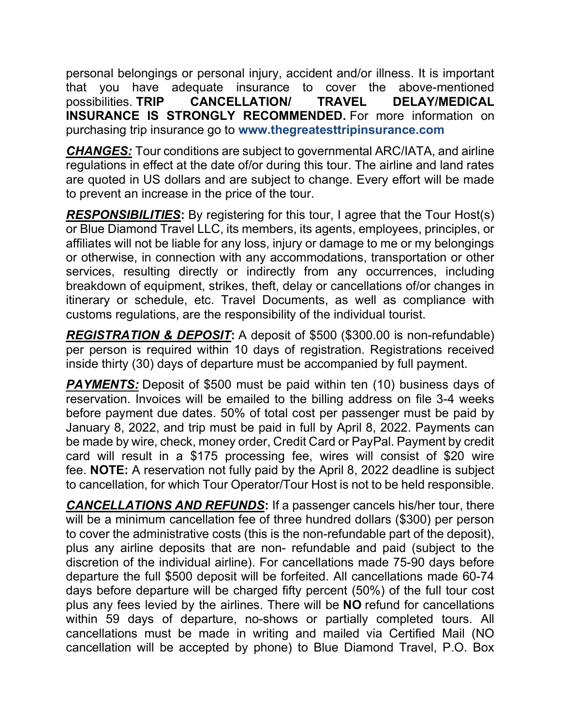personal belongings or personal injury, accident and/or illness. It is important that you have adequate insurance to cover the above-mentioned possibilities. TRIP CANCELLATION/ TRAVEL DELAY/MEDICAL INSURANCE IS STRONGLY RECOMMENDED. For more information on purchasing trip insurance go to www.thegreatesttripinsurance.com

**CHANGES:** Tour conditions are subject to governmental ARC/IATA, and airline regulations in effect at the date of/or during this tour. The airline and land rates are quoted in US dollars and are subject to change. Every effort will be made to prevent an increase in the price of the tour.

**RESPONSIBILITIES:** By registering for this tour, I agree that the Tour Host(s) or Blue Diamond Travel LLC, its members, its agents, employees, principles, or affiliates will not be liable for any loss, injury or damage to me or my belongings or otherwise, in connection with any accommodations, transportation or other services, resulting directly or indirectly from any occurrences, including breakdown of equipment, strikes, theft, delay or cancellations of/or changes in itinerary or schedule, etc. Travel Documents, as well as compliance with customs regulations, are the responsibility of the individual tourist.

REGISTRATION & DEPOSIT: A deposit of \$500 (\$300.00 is non-refundable) per person is required within 10 days of registration. Registrations received inside thirty (30) days of departure must be accompanied by full payment.

**PAYMENTS:** Deposit of \$500 must be paid within ten (10) business days of reservation. Invoices will be emailed to the billing address on file 3-4 weeks before payment due dates. 50% of total cost per passenger must be paid by January 8, 2022, and trip must be paid in full by April 8, 2022. Payments can be made by wire, check, money order, Credit Card or PayPal. Payment by credit card will result in a \$175 processing fee, wires will consist of \$20 wire fee. NOTE: A reservation not fully paid by the April 8, 2022 deadline is subject to cancellation, for which Tour Operator/Tour Host is not to be held responsible.

CANCELLATIONS AND REFUNDS: If a passenger cancels his/her tour, there will be a minimum cancellation fee of three hundred dollars (\$300) per person to cover the administrative costs (this is the non-refundable part of the deposit), plus any airline deposits that are non- refundable and paid (subject to the discretion of the individual airline). For cancellations made 75-90 days before departure the full \$500 deposit will be forfeited. All cancellations made 60-74 days before departure will be charged fifty percent (50%) of the full tour cost plus any fees levied by the airlines. There will be NO refund for cancellations within 59 days of departure, no-shows or partially completed tours. All cancellations must be made in writing and mailed via Certified Mail (NO cancellation will be accepted by phone) to Blue Diamond Travel, P.O. Box